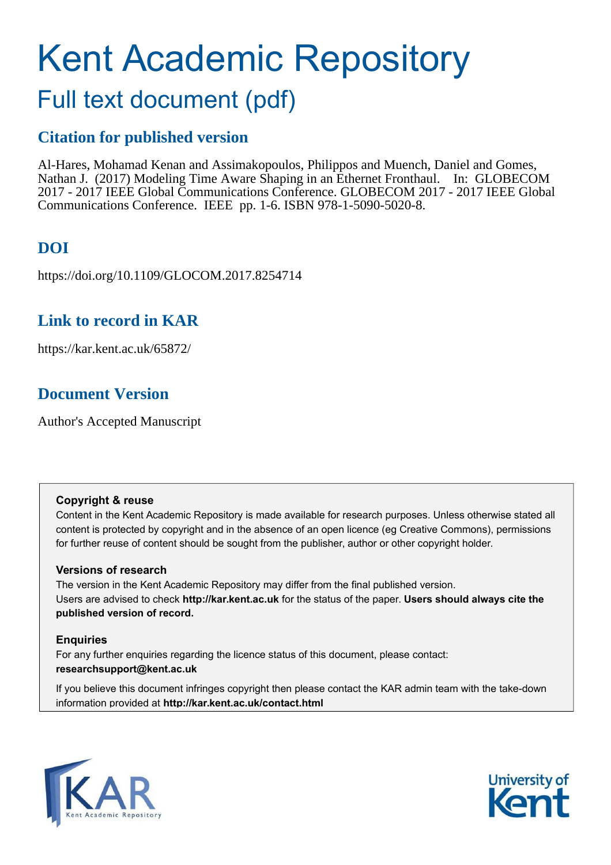# Kent Academic Repository

# Full text document (pdf)

## **Citation for published version**

Al-Hares, Mohamad Kenan and Assimakopoulos, Philippos and Muench, Daniel and Gomes, Nathan J. (2017) Modeling Time Aware Shaping in an Ethernet Fronthaul. In: GLOBECOM 2017 - 2017 IEEE Global Communications Conference. GLOBECOM 2017 - 2017 IEEE Global Communications Conference. IEEE pp. 1-6. ISBN 978-1-5090-5020-8.

## **DOI**

https://doi.org/10.1109/GLOCOM.2017.8254714

## **Link to record in KAR**

https://kar.kent.ac.uk/65872/

## **Document Version**

Author's Accepted Manuscript

## **Copyright & reuse**

Content in the Kent Academic Repository is made available for research purposes. Unless otherwise stated all content is protected by copyright and in the absence of an open licence (eg Creative Commons), permissions for further reuse of content should be sought from the publisher, author or other copyright holder.

## **Versions of research**

The version in the Kent Academic Repository may differ from the final published version. Users are advised to check **http://kar.kent.ac.uk** for the status of the paper. **Users should always cite the published version of record.**

## **Enquiries**

For any further enquiries regarding the licence status of this document, please contact: **researchsupport@kent.ac.uk**

If you believe this document infringes copyright then please contact the KAR admin team with the take-down information provided at **http://kar.kent.ac.uk/contact.html**



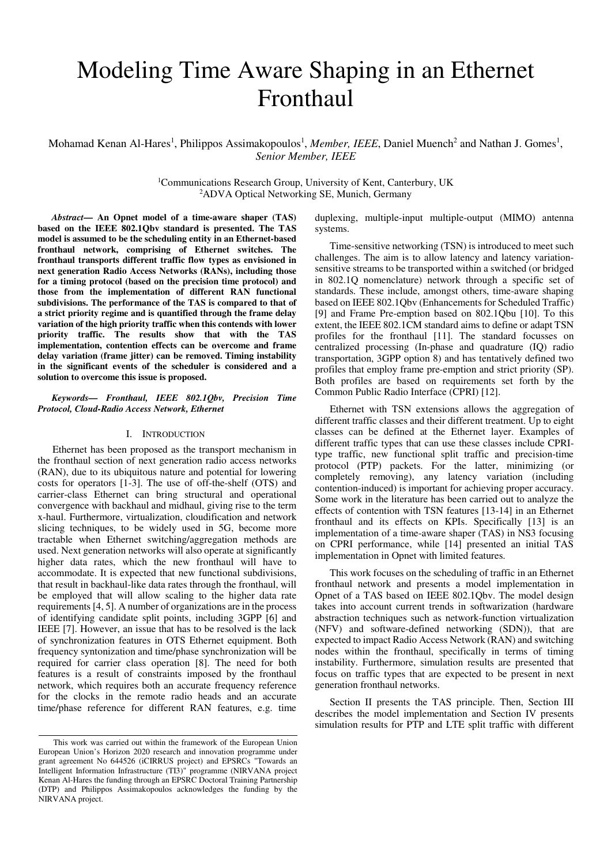# Modeling Time Aware Shaping in an Ethernet Fronthaul

Mohamad Kenan Al-Hares<sup>1</sup>, Philippos Assimakopoulos<sup>1</sup>, Member, IEEE, Daniel Muench<sup>2</sup> and Nathan J. Gomes<sup>1</sup>, *Senior Member, IEEE* 

> <sup>1</sup>Communications Research Group, University of Kent, Canterbury, UK <sup>2</sup>ADVA Optical Networking SE, Munich, Germany

*Abstract***— An Opnet model of a time-aware shaper (TAS) based on the IEEE 802.1Qbv standard is presented. The TAS model is assumed to be the scheduling entity in an Ethernet-based fronthaul network, comprising of Ethernet switches. The fronthaul transports different traffic flow types as envisioned in next generation Radio Access Networks (RANs), including those for a timing protocol (based on the precision time protocol) and those from the implementation of different RAN functional subdivisions. The performance of the TAS is compared to that of a strict priority regime and is quantified through the frame delay variation of the high priority traffic when this contends with lower priority traffic. The results show that with the TAS implementation, contention effects can be overcome and frame delay variation (frame jitter) can be removed. Timing instability in the significant events of the scheduler is considered and a solution to overcome this issue is proposed.** 

#### *Keywords— Fronthaul, IEEE 802.1Qbv, Precision Time Protocol, Cloud-Radio Access Network, Ethernet*

#### I. INTRODUCTION

Ethernet has been proposed as the transport mechanism in the fronthaul section of next generation radio access networks (RAN), due to its ubiquitous nature and potential for lowering costs for operators [1-3]. The use of off-the-shelf (OTS) and carrier-class Ethernet can bring structural and operational convergence with backhaul and midhaul, giving rise to the term x-haul. Furthermore, virtualization, cloudification and network slicing techniques, to be widely used in 5G, become more tractable when Ethernet switching/aggregation methods are used. Next generation networks will also operate at significantly higher data rates, which the new fronthaul will have to accommodate. It is expected that new functional subdivisions, that result in backhaul-like data rates through the fronthaul, will be employed that will allow scaling to the higher data rate requirements [4, 5]. A number of organizations are in the process of identifying candidate split points, including 3GPP [6] and IEEE [7]. However, an issue that has to be resolved is the lack of synchronization features in OTS Ethernet equipment. Both frequency syntonization and time/phase synchronization will be required for carrier class operation [8]. The need for both features is a result of constraints imposed by the fronthaul network, which requires both an accurate frequency reference for the clocks in the remote radio heads and an accurate time/phase reference for different RAN features, e.g. time duplexing, multiple-input multiple-output (MIMO) antenna systems.

Time-sensitive networking (TSN) is introduced to meet such challenges. The aim is to allow latency and latency variationsensitive streams to be transported within a switched (or bridged in 802.1Q nomenclature) network through a specific set of standards. These include, amongst others, time-aware shaping based on IEEE 802.1Qbv (Enhancements for Scheduled Traffic) [9] and Frame Pre-emption based on 802.1Qbu [10]. To this extent, the IEEE 802.1CM standard aims to define or adapt TSN profiles for the fronthaul [11]. The standard focusses on centralized processing (In-phase and quadrature (IQ) radio transportation, 3GPP option 8) and has tentatively defined two profiles that employ frame pre-emption and strict priority (SP). Both profiles are based on requirements set forth by the Common Public Radio Interface (CPRI) [12].

Ethernet with TSN extensions allows the aggregation of different traffic classes and their different treatment. Up to eight classes can be defined at the Ethernet layer. Examples of different traffic types that can use these classes include CPRItype traffic, new functional split traffic and precision-time protocol (PTP) packets. For the latter, minimizing (or completely removing), any latency variation (including contention-induced) is important for achieving proper accuracy. Some work in the literature has been carried out to analyze the effects of contention with TSN features [13-14] in an Ethernet fronthaul and its effects on KPIs. Specifically [13] is an implementation of a time-aware shaper (TAS) in NS3 focusing on CPRI performance, while [14] presented an initial TAS implementation in Opnet with limited features.

This work focuses on the scheduling of traffic in an Ethernet fronthaul network and presents a model implementation in Opnet of a TAS based on IEEE 802.1Qbv. The model design takes into account current trends in softwarization (hardware abstraction techniques such as network-function virtualization (NFV) and software-defined networking (SDN)), that are expected to impact Radio Access Network (RAN) and switching nodes within the fronthaul, specifically in terms of timing instability. Furthermore, simulation results are presented that focus on traffic types that are expected to be present in next generation fronthaul networks.

Section II presents the TAS principle. Then, Section III describes the model implementation and Section IV presents simulation results for PTP and LTE split traffic with different

This work was carried out within the framework of the European Union European Union's Horizon 2020 research and innovation programme under grant agreement No 644526 (iCIRRUS project) and EPSRCs "Towards an Intelligent Information Infrastructure (TI3)" programme (NIRVANA project Kenan Al-Hares the funding through an EPSRC Doctoral Training Partnership (DTP) and Philippos Assimakopoulos acknowledges the funding by the NIRVANA project.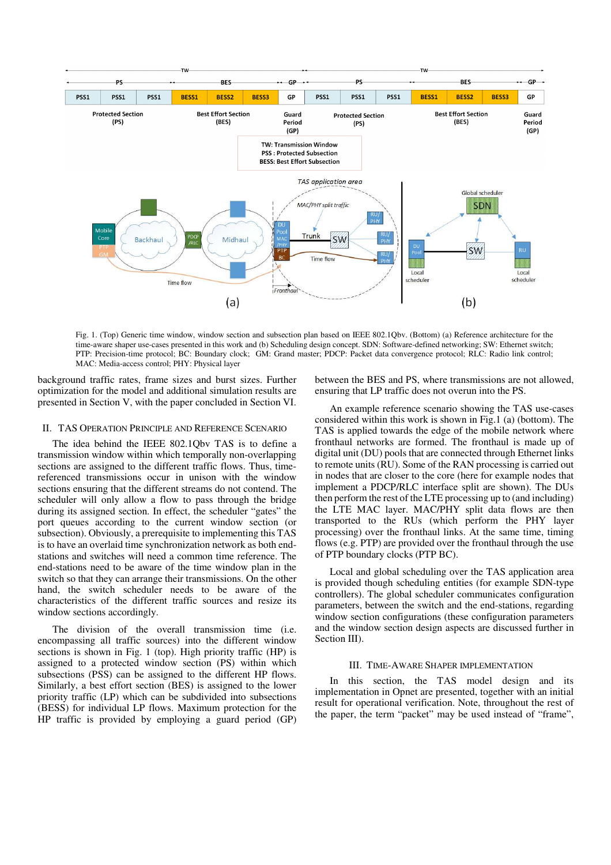

Fig. 1. (Top) Generic time window, window section and subsection plan based on IEEE 802.1Qbv. (Bottom) (a) Reference architecture for the time-aware shaper use-cases presented in this work and (b) Scheduling design concept. SDN: Software-defined networking; SW: Ethernet switch; PTP: Precision-time protocol; BC: Boundary clock; GM: Grand master; PDCP: Packet data convergence protocol; RLC: Radio link control; MAC: Media-access control; PHY: Physical layer

background traffic rates, frame sizes and burst sizes. Further optimization for the model and additional simulation results are presented in Section V, with the paper concluded in Section VI.

#### II. TAS OPERATION PRINCIPLE AND REFERENCE SCENARIO

The idea behind the IEEE 802.1Qbv TAS is to define a transmission window within which temporally non-overlapping sections are assigned to the different traffic flows. Thus, timereferenced transmissions occur in unison with the window sections ensuring that the different streams do not contend. The scheduler will only allow a flow to pass through the bridge during its assigned section. In effect, the scheduler "gates" the port queues according to the current window section (or subsection). Obviously, a prerequisite to implementing this TAS is to have an overlaid time synchronization network as both endstations and switches will need a common time reference. The end-stations need to be aware of the time window plan in the switch so that they can arrange their transmissions. On the other hand, the switch scheduler needs to be aware of the characteristics of the different traffic sources and resize its window sections accordingly.

The division of the overall transmission time (i.e. encompassing all traffic sources) into the different window sections is shown in Fig. 1 (top). High priority traffic (HP) is assigned to a protected window section (PS) within which subsections (PSS) can be assigned to the different HP flows. Similarly, a best effort section (BES) is assigned to the lower priority traffic (LP) which can be subdivided into subsections (BESS) for individual LP flows. Maximum protection for the HP traffic is provided by employing a guard period (GP) between the BES and PS, where transmissions are not allowed, ensuring that LP traffic does not overun into the PS.

An example reference scenario showing the TAS use-cases considered within this work is shown in Fig.1 (a) (bottom). The TAS is applied towards the edge of the mobile network where fronthaul networks are formed. The fronthaul is made up of digital unit (DU) pools that are connected through Ethernet links to remote units (RU). Some of the RAN processing is carried out in nodes that are closer to the core (here for example nodes that implement a PDCP/RLC interface split are shown). The DUs then perform the rest of the LTE processing up to (and including) the LTE MAC layer. MAC/PHY split data flows are then transported to the RUs (which perform the PHY layer processing) over the fronthaul links. At the same time, timing flows (e.g. PTP) are provided over the fronthaul through the use of PTP boundary clocks (PTP BC).

Local and global scheduling over the TAS application area is provided though scheduling entities (for example SDN-type controllers). The global scheduler communicates configuration parameters, between the switch and the end-stations, regarding window section configurations (these configuration parameters and the window section design aspects are discussed further in Section III).

#### III. TIME-AWARE SHAPER IMPLEMENTATION

In this section, the TAS model design and its implementation in Opnet are presented, together with an initial result for operational verification. Note, throughout the rest of the paper, the term "packet" may be used instead of "frame",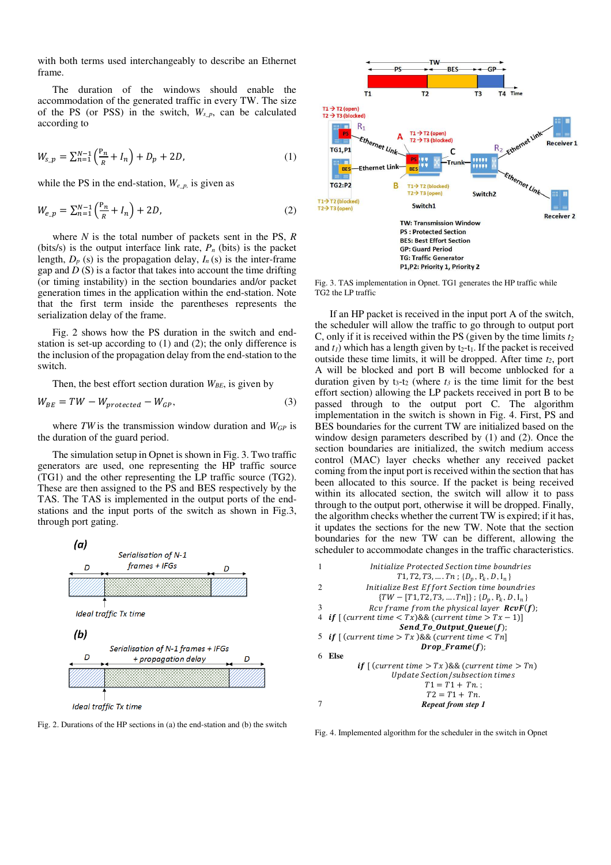with both terms used interchangeably to describe an Ethernet frame.

The duration of the windows should enable the accommodation of the generated traffic in every TW. The size of the PS (or PSS) in the switch, *Ws\_p*, can be calculated according to

$$
W_{s\_p} = \sum_{n=1}^{N-1} {\binom{\mathbf{P}_n}{R} + I_n} + D_p + 2D,\tag{1}
$$

while the PS in the end-station,  $W_{e,p}$  is given as

$$
W_{e\_p} = \sum_{n=1}^{N-1} \left(\frac{P_n}{R} + I_n\right) + 2D,\tag{2}
$$

where *N* is the total number of packets sent in the PS, *R* (bits/s) is the output interface link rate,  $P_n$  (bits) is the packet length,  $D_p$  (s) is the propagation delay,  $I_n$  (s) is the inter-frame gap and *D* (S) is a factor that takes into account the time drifting (or timing instability) in the section boundaries and/or packet generation times in the application within the end-station. Note that the first term inside the parentheses represents the serialization delay of the frame.

Fig. 2 shows how the PS duration in the switch and endstation is set-up according to (1) and (2); the only difference is the inclusion of the propagation delay from the end-station to the switch.

Then, the best effort section duration *WBE*, is given by

$$
W_{BE} = TW - W_{protected} - W_{GP}, \t\t(3)
$$

where *TW* is the transmission window duration and *WGP* is the duration of the guard period.

The simulation setup in Opnet is shown in Fig. 3. Two traffic generators are used, one representing the HP traffic source (TG1) and the other representing the LP traffic source (TG2). These are then assigned to the PS and BES respectively by the TAS. The TAS is implemented in the output ports of the endstations and the input ports of the switch as shown in Fig.3, through port gating.



Fig. 2. Durations of the HP sections in (a) the end-station and (b) the switch



Fig. 3. TAS implementation in Opnet. TG1 generates the HP traffic while TG2 the LP traffic

If an HP packet is received in the input port A of the switch, the scheduler will allow the traffic to go through to output port C, only if it is received within the PS (given by the time limits *t<sup>2</sup>* and  $t_1$ ) which has a length given by  $t_2$ - $t_1$ . If the packet is received outside these time limits, it will be dropped. After time *t2*, port A will be blocked and port B will become unblocked for a duration given by  $t_3-t_2$  (where  $t_3$  is the time limit for the best effort section) allowing the LP packets received in port B to be passed through to the output port C. The algorithm implementation in the switch is shown in Fig. 4. First, PS and BES boundaries for the current TW are initialized based on the window design parameters described by (1) and (2). Once the section boundaries are initialized, the switch medium access control (MAC) layer checks whether any received packet coming from the input port is received within the section that has been allocated to this source. If the packet is being received within its allocated section, the switch will allow it to pass through to the output port, otherwise it will be dropped. Finally, the algorithm checks whether the current TW is expired; if it has, it updates the sections for the new TW. Note that the section boundaries for the new TW can be different, allowing the scheduler to accommodate changes in the traffic characteristics.



Fig. 4. Implemented algorithm for the scheduler in the switch in Opnet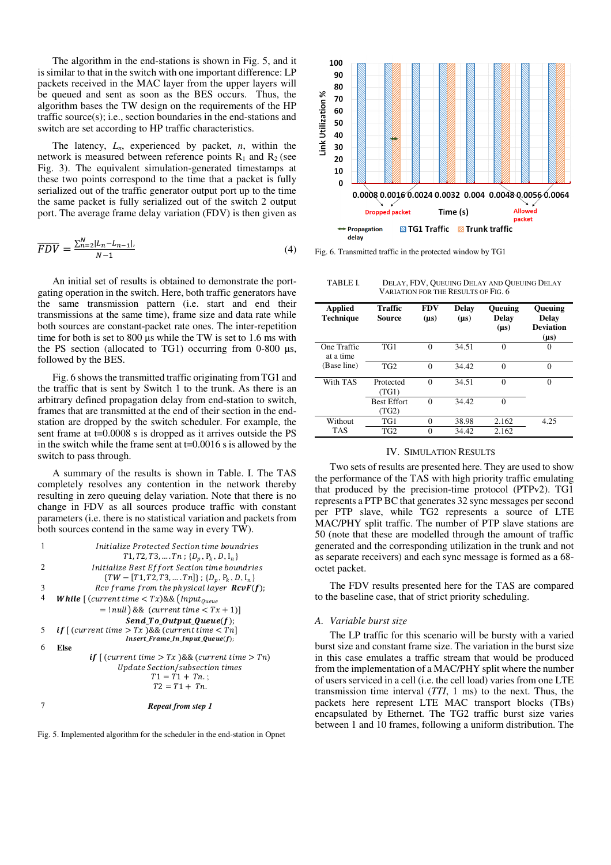The algorithm in the end-stations is shown in Fig. 5, and it is similar to that in the switch with one important difference: LP packets received in the MAC layer from the upper layers will be queued and sent as soon as the BES occurs. Thus, the algorithm bases the TW design on the requirements of the HP traffic source(s); i.e., section boundaries in the end-stations and switch are set according to HP traffic characteristics.

The latency, *Ln*, experienced by packet, *n*, within the network is measured between reference points  $R_1$  and  $R_2$  (see Fig. 3). The equivalent simulation-generated timestamps at these two points correspond to the time that a packet is fully serialized out of the traffic generator output port up to the time the same packet is fully serialized out of the switch 2 output port. The average frame delay variation (FDV) is then given as

$$
\overline{FDV} = \frac{\sum_{n=2}^{N} |L_n - L_{n-1}|}{N - 1} \tag{4}
$$

An initial set of results is obtained to demonstrate the portgating operation in the switch. Here, both traffic generators have the same transmission pattern (i.e. start and end their transmissions at the same time), frame size and data rate while both sources are constant-packet rate ones. The inter-repetition time for both is set to  $800 \mu s$  while the TW is set to 1.6 ms with the PS section (allocated to TG1) occurring from  $0-800 \mu s$ , followed by the BES.

Fig. 6 shows the transmitted traffic originating from TG1 and the traffic that is sent by Switch 1 to the trunk. As there is an arbitrary defined propagation delay from end-station to switch, frames that are transmitted at the end of their section in the endstation are dropped by the switch scheduler. For example, the sent frame at t=0.0008 s is dropped as it arrives outside the PS in the switch while the frame sent at  $t=0.0016$  s is allowed by the switch to pass through.

A summary of the results is shown in Table. I. The TAS completely resolves any contention in the network thereby resulting in zero queuing delay variation. Note that there is no change in FDV as all sources produce traffic with constant parameters (i.e. there is no statistical variation and packets from both sources contend in the same way in every TW).









TABLE I. DELAY, FDV, QUEUING DELAY AND QUEUING DELAY VARIATION FOR THE RESULTS OF FIG. 6

| Applied<br>Technique     | Traffic<br>Source           | <b>FDV</b><br>$(\mu s)$ | Delay<br>$(\mu s)$ | <b>Oueuing</b><br>Delay<br>$(\mu s)$ | <b>Oueuing</b><br><b>Delay</b><br><b>Deviation</b><br>$(\mu s)$ |
|--------------------------|-----------------------------|-------------------------|--------------------|--------------------------------------|-----------------------------------------------------------------|
| One Traffic<br>at a time | TG1                         | 0                       | 34.51              | $\Omega$                             | $\Omega$                                                        |
| (Base line)              | TG <sub>2</sub>             | $\Omega$                | 34.42              | $\Omega$                             | $\theta$                                                        |
| With TAS                 | Protected<br>(TG1)          | $\Omega$                | 34.51              | $\Omega$                             | $\theta$                                                        |
|                          | <b>Best Effort</b><br>(TG2) | 0                       | 34.42              | $\theta$                             |                                                                 |
| Without                  | TG1                         | 0                       | 38.98              | 2.162                                | 4.25                                                            |
| <b>TAS</b>               | TG <sub>2</sub>             | 0                       | 34.42              | 2.162                                |                                                                 |

#### IV. SIMULATION RESULTS

Two sets of results are presented here. They are used to show the performance of the TAS with high priority traffic emulating that produced by the precision-time protocol (PTPv2). TG1 represents a PTP BC that generates 32 sync messages per second per PTP slave, while TG2 represents a source of LTE MAC/PHY split traffic. The number of PTP slave stations are 50 (note that these are modelled through the amount of traffic generated and the corresponding utilization in the trunk and not as separate receivers) and each sync message is formed as a 68 octet packet.

The FDV results presented here for the TAS are compared to the baseline case, that of strict priority scheduling.

#### *A. Variable burst size*

The LP traffic for this scenario will be bursty with a varied burst size and constant frame size. The variation in the burst size in this case emulates a traffic stream that would be produced from the implementation of a MAC/PHY split where the number of users serviced in a cell (i.e. the cell load) varies from one LTE transmission time interval (*TTI*, 1 ms) to the next. Thus, the packets here represent LTE MAC transport blocks (TBs) encapsulated by Ethernet. The TG2 traffic burst size varies between 1 and 10 frames, following a uniform distribution. The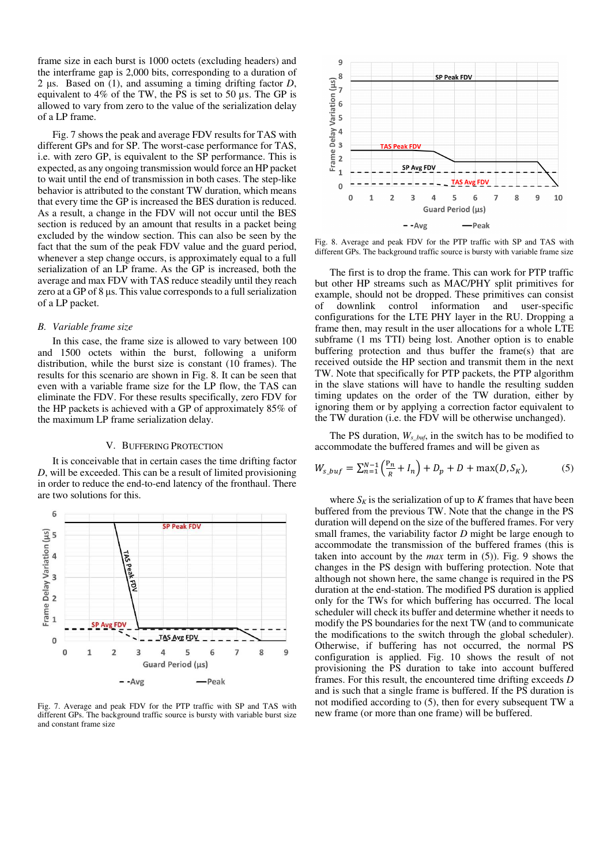frame size in each burst is 1000 octets (excluding headers) and the interframe gap is 2,000 bits, corresponding to a duration of 2  $\mu$ s. Based on (1), and assuming a timing drifting factor *D*, equivalent to 4% of the TW, the PS is set to 50 µs. The GP is allowed to vary from zero to the value of the serialization delay of a LP frame.

Fig. 7 shows the peak and average FDV results for TAS with different GPs and for SP. The worst-case performance for TAS, i.e. with zero GP, is equivalent to the SP performance. This is expected, as any ongoing transmission would force an HP packet to wait until the end of transmission in both cases. The step-like behavior is attributed to the constant TW duration, which means that every time the GP is increased the BES duration is reduced. As a result, a change in the FDV will not occur until the BES section is reduced by an amount that results in a packet being excluded by the window section. This can also be seen by the fact that the sum of the peak FDV value and the guard period, whenever a step change occurs, is approximately equal to a full serialization of an LP frame. As the GP is increased, both the average and max FDV with TAS reduce steadily until they reach zero at a GP of  $8 \mu s$ . This value corresponds to a full serialization of a LP packet.

#### *B. Variable frame size*

In this case, the frame size is allowed to vary between 100 and 1500 octets within the burst, following a uniform distribution, while the burst size is constant (10 frames). The results for this scenario are shown in Fig. 8. It can be seen that even with a variable frame size for the LP flow, the TAS can eliminate the FDV. For these results specifically, zero FDV for the HP packets is achieved with a GP of approximately 85% of the maximum LP frame serialization delay.

#### V. BUFFERING PROTECTION

It is conceivable that in certain cases the time drifting factor *D*, will be exceeded. This can be a result of limited provisioning in order to reduce the end-to-end latency of the fronthaul. There are two solutions for this.



Fig. 7. Average and peak FDV for the PTP traffic with SP and TAS with different GPs. The background traffic source is bursty with variable burst size and constant frame size



Fig. 8. Average and peak FDV for the PTP traffic with SP and TAS with different GPs. The background traffic source is bursty with variable frame size

The first is to drop the frame. This can work for PTP traffic but other HP streams such as MAC/PHY split primitives for example, should not be dropped. These primitives can consist of downlink control information and user-specific configurations for the LTE PHY layer in the RU. Dropping a frame then, may result in the user allocations for a whole LTE subframe (1 ms TTI) being lost. Another option is to enable buffering protection and thus buffer the frame(s) that are received outside the HP section and transmit them in the next TW. Note that specifically for PTP packets, the PTP algorithm in the slave stations will have to handle the resulting sudden timing updates on the order of the TW duration, either by ignoring them or by applying a correction factor equivalent to the TW duration (i.e. the FDV will be otherwise unchanged).

The PS duration, *Ws\_buf*, in the switch has to be modified to accommodate the buffered frames and will be given as

$$
W_{s_b} = \sum_{n=1}^{N-1} \left( \frac{P_n}{R} + I_n \right) + D_p + D + \max(D, S_K), \tag{5}
$$

where  $S_K$  is the serialization of up to  $K$  frames that have been buffered from the previous TW. Note that the change in the PS duration will depend on the size of the buffered frames. For very small frames, the variability factor *D* might be large enough to accommodate the transmission of the buffered frames (this is taken into account by the *max* term in (5)). Fig. 9 shows the changes in the PS design with buffering protection. Note that although not shown here, the same change is required in the PS duration at the end-station. The modified PS duration is applied only for the TWs for which buffering has occurred. The local scheduler will check its buffer and determine whether it needs to modify the PS boundaries for the next TW (and to communicate the modifications to the switch through the global scheduler). Otherwise, if buffering has not occurred, the normal PS configuration is applied. Fig. 10 shows the result of not provisioning the PS duration to take into account buffered frames. For this result, the encountered time drifting exceeds *D* and is such that a single frame is buffered. If the PS duration is not modified according to (5), then for every subsequent TW a new frame (or more than one frame) will be buffered.